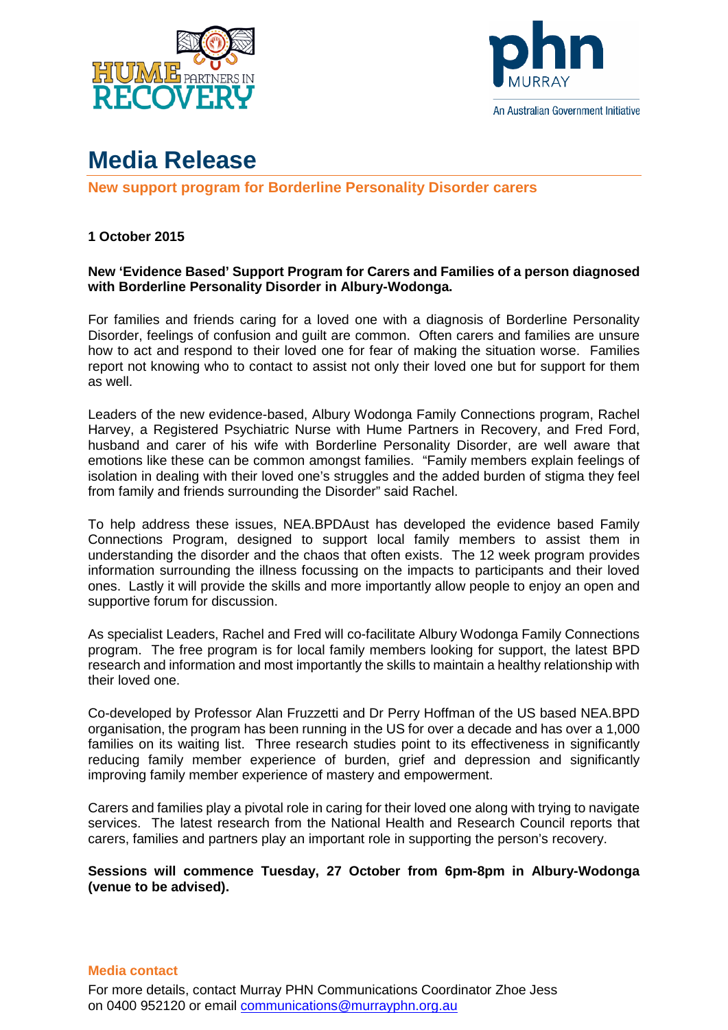



## **Media Release**

**New support program for Borderline Personality Disorder carers**

## **1 October 2015**

## **New 'Evidence Based' Support Program for Carers and Families of a person diagnosed with Borderline Personality Disorder in Albury-Wodonga.**

For families and friends caring for a loved one with a diagnosis of Borderline Personality Disorder, feelings of confusion and guilt are common. Often carers and families are unsure how to act and respond to their loved one for fear of making the situation worse. Families report not knowing who to contact to assist not only their loved one but for support for them as well.

Leaders of the new evidence-based, Albury Wodonga Family Connections program, Rachel Harvey, a Registered Psychiatric Nurse with Hume Partners in Recovery, and Fred Ford, husband and carer of his wife with Borderline Personality Disorder, are well aware that emotions like these can be common amongst families. "Family members explain feelings of isolation in dealing with their loved one's struggles and the added burden of stigma they feel from family and friends surrounding the Disorder" said Rachel.

To help address these issues, NEA.BPDAust has developed the evidence based Family Connections Program, designed to support local family members to assist them in understanding the disorder and the chaos that often exists. The 12 week program provides information surrounding the illness focussing on the impacts to participants and their loved ones. Lastly it will provide the skills and more importantly allow people to enjoy an open and supportive forum for discussion.

As specialist Leaders, Rachel and Fred will co-facilitate Albury Wodonga Family Connections program. The free program is for local family members looking for support, the latest BPD research and information and most importantly the skills to maintain a healthy relationship with their loved one.

Co-developed by Professor Alan Fruzzetti and Dr Perry Hoffman of the US based NEA.BPD organisation, the program has been running in the US for over a decade and has over a 1,000 families on its waiting list. Three research studies point to its effectiveness in significantly reducing family member experience of burden, grief and depression and significantly improving family member experience of mastery and empowerment.

Carers and families play a pivotal role in caring for their loved one along with trying to navigate services. The latest research from the National Health and Research Council reports that carers, families and partners play an important role in supporting the person's recovery.

**Sessions will commence Tuesday, 27 October from 6pm-8pm in Albury-Wodonga (venue to be advised).** 

## **Media contact**